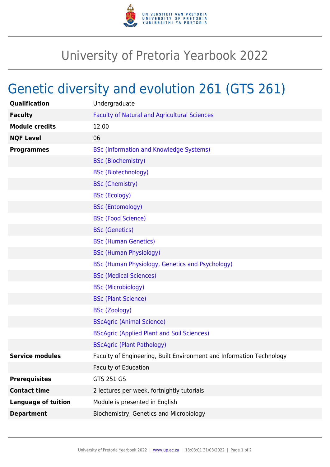

## University of Pretoria Yearbook 2022

## Genetic diversity and evolution 261 (GTS 261)

| Qualification              | Undergraduate                                                        |
|----------------------------|----------------------------------------------------------------------|
| <b>Faculty</b>             | <b>Faculty of Natural and Agricultural Sciences</b>                  |
| <b>Module credits</b>      | 12.00                                                                |
| <b>NQF Level</b>           | 06                                                                   |
| <b>Programmes</b>          | <b>BSc (Information and Knowledge Systems)</b>                       |
|                            | <b>BSc (Biochemistry)</b>                                            |
|                            | <b>BSc (Biotechnology)</b>                                           |
|                            | <b>BSc (Chemistry)</b>                                               |
|                            | <b>BSc (Ecology)</b>                                                 |
|                            | <b>BSc (Entomology)</b>                                              |
|                            | <b>BSc (Food Science)</b>                                            |
|                            | <b>BSc (Genetics)</b>                                                |
|                            | <b>BSc (Human Genetics)</b>                                          |
|                            | <b>BSc (Human Physiology)</b>                                        |
|                            | BSc (Human Physiology, Genetics and Psychology)                      |
|                            | <b>BSc (Medical Sciences)</b>                                        |
|                            | <b>BSc (Microbiology)</b>                                            |
|                            | <b>BSc (Plant Science)</b>                                           |
|                            | <b>BSc (Zoology)</b>                                                 |
|                            | <b>BScAgric (Animal Science)</b>                                     |
|                            | <b>BScAgric (Applied Plant and Soil Sciences)</b>                    |
|                            | <b>BScAgric (Plant Pathology)</b>                                    |
| <b>Service modules</b>     | Faculty of Engineering, Built Environment and Information Technology |
|                            | <b>Faculty of Education</b>                                          |
| <b>Prerequisites</b>       | GTS 251 GS                                                           |
| <b>Contact time</b>        | 2 lectures per week, fortnightly tutorials                           |
| <b>Language of tuition</b> | Module is presented in English                                       |
| <b>Department</b>          | Biochemistry, Genetics and Microbiology                              |
|                            |                                                                      |